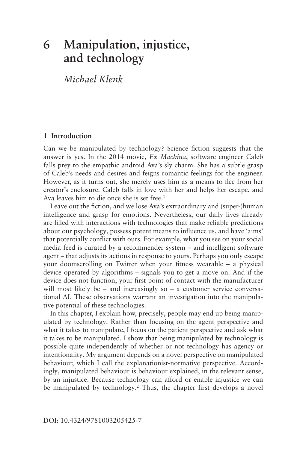# <span id="page-0-0"></span>**6 Manipulation, injustice, and technology**

*Michael Klenk* 

# **1 Introduction**

Can we be manipulated by technology? Science fction suggests that the answer is yes. In the 2014 movie, *Ex Machina*, software engineer Caleb falls prey to the empathic android Ava's sly charm. She has a subtle grasp of Caleb's needs and desires and feigns romantic feelings for the engineer. However, as it turns out, she merely uses him as a means to fee from her creator's enclosure. Caleb falls in love with her and helps her escape, and Ava leaves him to die once she is set free.<sup>1</sup>

Leave out the fction, and we lose Ava's extraordinary and (super-)human intelligence and grasp for emotions. Nevertheless, our daily lives already are flled with interactions with technologies that make reliable predictions about our psychology, possess potent means to infuence us, and have 'aims' that potentially confict with ours. For example, what you see on your social media feed is curated by a recommender system – and intelligent software agent – that adjusts its actions in response to yours. Perhaps you only escape your doomscrolling on Twitter when your ftness wearable – a physical device operated by algorithms – signals you to get a move on. And if the device does not function, your frst point of contact with the manufacturer will most likely be  $-$  and increasingly so  $-$  a customer service conversational AI. These observations warrant an investigation into the manipulative potential of these technologies.

In this chapter, I explain how, precisely, people may end up being manipulated by technology. Rather than focusing on the agent perspective and what it takes to manipulate, I focus on the patient perspective and ask what it takes to be manipulated. I show that being manipulated by technology is possible quite independently of whether or not technology has agency or intentionality. My argument depends on a novel perspective on manipulated behaviour, which I call the explanationist-normative perspective. Accordingly, manipulated behaviour is behaviour explained, in the relevant sense, by an injustice. Because technology can afford or enable injustice we can be manipulated by technology.<sup>2</sup> Thus, the chapter first develops a novel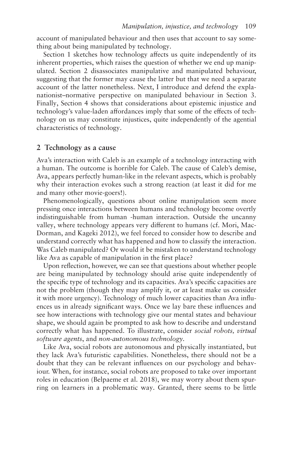account of manipulated behaviour and then uses that account to say something about being manipulated by technology.

[Section 1](#page-0-0) sketches how technology affects us quite independently of its inherent properties, which raises the question of whether we end up manipulated. Section 2 disassociates manipulative and manipulated behaviour, suggesting that the former may cause the latter but that we need a separate account of the latter nonetheless. Next, I introduce and defend the explanationist–normative perspective on manipulated behaviour in [Section 3.](#page-3-0) Finally, [Section 4](#page-4-0) shows that considerations about epistemic injustice and technology's value-laden afordances imply that some of the efects of technology on us may constitute injustices, quite independently of the agential characteristics of technology.

# **2 Technology as a cause**

Ava's interaction with Caleb is an example of a technology interacting with a human. The outcome is horrible for Caleb. The cause of Caleb's demise, Ava, appears perfectly human-like in the relevant aspects, which is probably why their interaction evokes such a strong reaction (at least it did for me and many other movie-goers!).

Phenomenologically, questions about online manipulation seem more pressing once interactions between humans and technology become overtly indistinguishable from human -human interaction. Outside the uncanny valley, where technology appears very diferent to humans (cf. Mori, Mac-Dorman, and Kageki 2012), we feel forced to consider how to describe and understand correctly what has happened and how to classify the interaction. Was Caleb manipulated? Or would it be mistaken to understand technology like Ava as capable of manipulation in the frst place?

Upon refection, however, we can see that questions about whether people are being manipulated by technology should arise quite independently of the specifc type of technology and its capacities. Ava's specifc capacities are not the problem (though they may amplify it, or at least make us consider it with more urgency). Technology of much lower capacities than Ava infuences us in already signifcant ways. Once we lay bare these infuences and see how interactions with technology give our mental states and behaviour shape, we should again be prompted to ask how to describe and understand correctly what has happened. To illustrate, consider *social robots, virtual software agents*, and *non-autonomous technology*.

Like Ava, social robots are autonomous and physically instantiated, but they lack Ava's futuristic capabilities. Nonetheless, there should not be a doubt that they can be relevant infuences on our psychology and behaviour. When, for instance, social robots are proposed to take over important roles in education (Belpaeme et al. 2018), we may worry about them spurring on learners in a problematic way. Granted, there seems to be little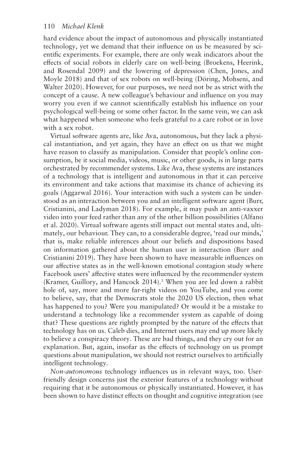<span id="page-2-0"></span>hard evidence about the impact of autonomous and physically instantiated technology, yet we demand that their infuence on us be measured by scientifc experiments. For example, there are only weak indicators about the efects of social robots in elderly care on well-being (Broekens, Heerink, and Rosendal 2009) and the lowering of depression (Chen, Jones, and Moyle 2018) and that of sex robots on well-being (Döring, Mohseni, and Walter 2020). However, for our purposes, we need not be as strict with the concept of a cause. A new colleague's behaviour and infuence on you may worry you even if we cannot scientifcally establish his infuence on your psychological well-being or some other factor. In the same vein, we can ask what happened when someone who feels grateful to a care robot or in love with a sex robot.

Virtual software agents are, like Ava, autonomous, but they lack a physical instantiation, and yet again, they have an efect on us that we might have reason to classify as manipulation. Consider that people's online consumption, be it social media, videos, music, or other goods, is in large parts orchestrated by recommender systems. Like Ava, these systems are instances of a technology that is intelligent and autonomous in that it can perceive its environment and take actions that maximise its chance of achieving its goals (Aggarwal 2016). Your interaction with such a system can be understood as an interaction between you and an intelligent software agent (Burr, Cristianini, and Ladyman 2018). For example, it may push an anti-vaxxer video into your feed rather than any of the other billion possibilities (Alfano et al. 2020). Virtual software agents still impact out mental states and, ultimately, our behaviour. They can, to a considerable degree, 'read our minds,' that is, make reliable inferences about our beliefs and dispositions based on information gathered about the human user in interaction (Burr and Cristianini 2019). They have been shown to have measurable infuences on our afective states as in the well-known emotional contagion study where Facebook users' affective states were influenced by the recommender system (Kramer, Guillory, and Hancock 2014).<sup>3</sup> When you are led down a rabbit hole of, say, more and more far-right videos on YouTube, and you come to believe, say, that the Democrats stole the 2020 US election, then what has happened to you? Were you manipulated? Or would it be a mistake to understand a technology like a recommender system as capable of doing that? These questions are rightly prompted by the nature of the efects that technology has on us. Caleb dies, and Internet users may end up more likely to believe a conspiracy theory. These are bad things, and they cry out for an explanation. But, again, insofar as the efects of technology on us prompt questions about manipulation, we should not restrict ourselves to artifcially intelligent technology.

*Non-autonomous* technology infuences us in relevant ways, too. Userfriendly design concerns just the exterior features of a technology without requiring that it be autonomous or physically instantiated. However, it has been shown to have distinct effects on thought and cognitive integration (see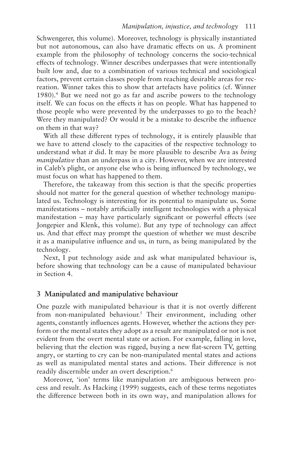<span id="page-3-0"></span>Schwengerer, this volume). Moreover, technology is physically instantiated but not autonomous, can also have dramatic efects on us. A prominent example from the philosophy of technology concerns the socio-technical efects of technology. Winner describes underpasses that were intentionally built low and, due to a combination of various technical and sociological factors, prevent certain classes people from reaching desirable areas for recreation. Winner takes this to show that artefacts have politics (cf. Winner 1980)[.4](#page-18-0) But we need not go as far and ascribe powers to the technology itself. We can focus on the efects it has on people. What has happened to those people who were prevented by the underpasses to go to the beach? Were they manipulated? Or would it be a mistake to describe the infuence on them in that way?

With all these diferent types of technology, it is entirely plausible that we have to attend closely to the capacities of the respective technology to understand what *it* did. It may be more plausible to describe Ava as *being manipulative* than an underpass in a city. However, when we are interested in Caleb's plight, or anyone else who is being infuenced by technology, we must focus on what has happened to them.

Therefore, the takeaway from this section is that the specifc properties should not matter for the general question of whether technology manipulated us. Technology is interesting for its potential to manipulate us. Some manifestations – notably artifcially intelligent technologies with a physical manifestation – may have particularly signifcant or powerful efects (see Jongepier and Klenk, this volume). But any type of technology can afect us. And that efect may prompt the question of whether we must describe it as a manipulative infuence and us, in turn, as being manipulated by the technology.

Next, I put technology aside and ask what manipulated behaviour is, before showing that technology can be a cause of manipulated behaviour in Section 4.

# **3 Manipulated and manipulative behaviour**

One puzzle with manipulated behaviour is that it is not overtly diferent from non-manipulated behaviour.<sup>5</sup> Their environment, including other agents, constantly infuences agents. However, whether the actions they perform or the mental states they adopt as a result are manipulated or not is not evident from the overt mental state or action. For example, falling in love, believing that the election was rigged, buying a new fat-screen TV, getting angry, or starting to cry can be non-manipulated mental states and actions as well as manipulated mental states and actions. Their diference is not readily discernible under an overt description.<sup>6</sup>

Moreover, 'ion' terms like manipulation are ambiguous between process and result. As Hacking (1999) suggests, each of these terms negotiates the diference between both in its own way, and manipulation allows for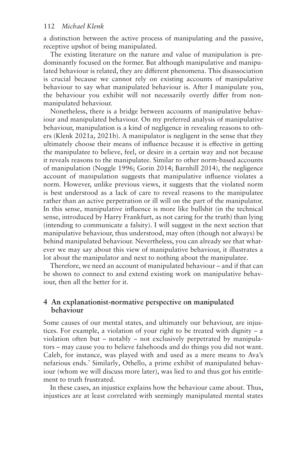<span id="page-4-0"></span>a distinction between the active process of manipulating and the passive, receptive upshot of being manipulated.

The existing literature on the nature and value of manipulation is predominantly focused on the former. But although manipulative and manipulated behaviour is related, they are diferent phenomena. This disassociation is crucial because we cannot rely on existing accounts of manipulative behaviour to say what manipulated behaviour is. After I manipulate you, the behaviour you exhibit will not necessarily overtly difer from nonmanipulated behaviour.

Nonetheless, there is a bridge between accounts of manipulative behaviour and manipulated behaviour. On my preferred analysis of manipulative behaviour, manipulation is a kind of negligence in revealing reasons to others (Klenk 2021a, 2021b). A manipulator is negligent in the sense that they ultimately choose their means of infuence because it is efective in getting the manipulatee to believe, feel, or desire in a certain way and not because it reveals reasons to the manipulatee. Similar to other norm-based accounts of manipulation (Noggle 1996; Gorin 2014; Barnhill 2014), the negligence account of manipulation suggests that manipulative infuence violates a norm. However, unlike previous views, it suggests that the violated norm is best understood as a lack of care to reveal reasons to the manipulatee rather than an active perpetration or ill will on the part of the manipulator. In this sense, manipulative infuence is more like bullshit (in the technical sense, introduced by Harry Frankfurt, as not caring for the truth) than lying (intending to communicate a falsity). I will suggest in the next section that manipulative behaviour, thus understood, may often (though not always) be behind manipulated behaviour. Nevertheless, you can already see that whatever we may say about this view of manipulative behaviour, it illustrates a lot about the manipulator and next to nothing about the manipulatee.

Therefore, we need an account of manipulated behaviour – and if that can be shown to connect to and extend existing work on manipulative behaviour, then all the better for it.

# **4 An explanationist-normative perspective on manipulated behaviour**

Some causes of our mental states, and ultimately our behaviour, are injustices. For example, a violation of your right to be treated with dignity – a violation often but – notably – not exclusively perpetrated by manipulators – may cause you to believe falsehoods and do things you did not want. Caleb, for instance, was played with and used as a mere means to Ava's nefarious ends[.7](#page-19-0) Similarly, Othello, a prime exhibit of manipulated behaviour (whom we will discuss more later), was lied to and thus got his entitlement to truth frustrated.

In these cases, an injustice explains how the behaviour came about. Thus, injustices are at least correlated with seemingly manipulated mental states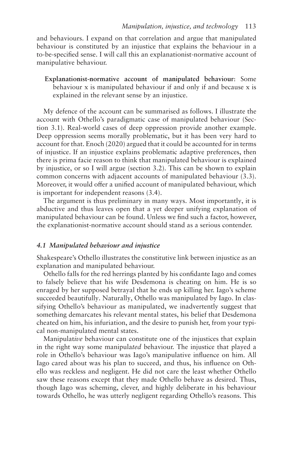and behaviours. I expand on that correlation and argue that manipulated behaviour is constituted by an injustice that explains the behaviour in a to-be-specifed sense. I will call this an explanationist-normative account of manipulative behaviour.

**Explanationist-normative account of manipulated behaviour**: Some behaviour x is manipulated behaviour if and only if and because x is explained in the relevant sense by an injustice.

My defence of the account can be summarised as follows. I illustrate the account with Othello's paradigmatic case of manipulated behaviour (Section 3.1). Real-world cases of deep oppression provide another example. Deep oppression seems morally problematic, but it has been very hard to account for that. Enoch (2020) argued that it could be accounted for in terms of injustice. If an injustice explains problematic adaptive preferences, then there is prima facie reason to think that manipulated behaviour is explained by injustice, or so I will argue (section 3.2). This can be shown to explain common concerns with adjacent accounts of manipulated behaviour (3.3). Moreover, it would offer a unified account of manipulated behaviour, which is important for independent reasons (3.4).

The argument is thus preliminary in many ways. Most importantly, it is abductive and thus leaves open that a yet deeper unifying explanation of manipulated behaviour can be found. Unless we fnd such a factor, however, the explanationist-normative account should stand as a serious contender.

#### *4.1 Manipulated behaviour and injustice*

Shakespeare's Othello illustrates the constitutive link between injustice as an explanation and manipulated behaviour.

Othello falls for the red herrings planted by his confdante Iago and comes to falsely believe that his wife Desdemona is cheating on him. He is so enraged by her supposed betrayal that he ends up killing her. Iago's scheme succeeded beautifully. Naturally, Othello was manipulated by Iago. In classifying Othello's behaviour as manipulated, we inadvertently suggest that something demarcates his relevant mental states, his belief that Desdemona cheated on him, his infuriation, and the desire to punish her, from your typical non-manipulated mental states.

Manipulat*ive* behaviour can constitute one of the injustices that explain in the right way some manipula*ted* behaviour. The injustice that played a role in Othello's behaviour was Iago's manipulative infuence on him. All Iago cared about was his plan to succeed, and thus, his infuence on Othello was reckless and negligent. He did not care the least whether Othello saw these reasons except that they made Othello behave as desired. Thus, though Iago was scheming, clever, and highly deliberate in his behaviour towards Othello, he was utterly negligent regarding Othello's reasons. This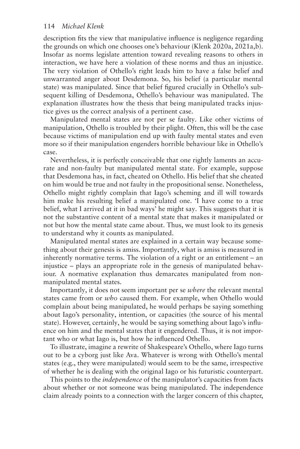description fts the view that manipulative infuence is negligence regarding the grounds on which one chooses one's behaviour (Klenk 2020a, 2021a,b). Insofar as norms legislate attention toward revealing reasons to others in interaction, we have here a violation of these norms and thus an injustice. The very violation of Othello's right leads him to have a false belief and unwarranted anger about Desdemona. So, his belief (a particular mental state) was manipulated. Since that belief fgured crucially in Othello's subsequent killing of Desdemona, Othello's behaviour was manipulated. The explanation illustrates how the thesis that being manipulated tracks injustice gives us the correct analysis of a pertinent case.

Manipulated mental states are not per se faulty. Like other victims of manipulation, Othello is troubled by their plight. Often, this will be the case because victims of manipulation end up with faulty mental states and even more so if their manipulation engenders horrible behaviour like in Othello's case.

Nevertheless, it is perfectly conceivable that one rightly laments an accurate and non-faulty but manipulated mental state. For example, suppose that Desdemona has, in fact, cheated on Othello. His belief that she cheated on him would be true and not faulty in the propositional sense. Nonetheless, Othello might rightly complain that Iago's scheming and ill will towards him make his resulting belief a manipulated one. 'I have come to a true belief, what I arrived at it in bad ways' he might say. This suggests that it is not the substantive content of a mental state that makes it manipulated or not but how the mental state came about. Thus, we must look to its genesis to understand why it counts as manipulated.

Manipulated mental states are explained in a certain way because something about their genesis is amiss. Importantly, what is amiss is measured in inherently normative terms. The violation of a right or an entitlement – an injustice – plays an appropriate role in the genesis of manipulated behaviour. A normative explanation thus demarcates manipulated from nonmanipulated mental states.

Importantly, it does not seem important per se *where* the relevant mental states came from or *who* caused them. For example, when Othello would complain about being manipulated, he would perhaps be saying something about Iago's personality, intention, or capacities (the source of his mental state). However, certainly, he would be saying something about Iago's infuence on him and the mental states that it engendered. Thus, it is not important who or what Iago is, but how he infuenced Othello.

To illustrate, imagine a rewrite of Shakespeare's Othello, where Iago turns out to be a cyborg just like Ava. Whatever is wrong with Othello's mental states (e.g., they were manipulated) would seem to be the same, irrespective of whether he is dealing with the original Iago or his futuristic counterpart.

This points to the *independence* of the manipulator's capacities from facts about whether or not someone was being manipulated. The independence claim already points to a connection with the larger concern of this chapter,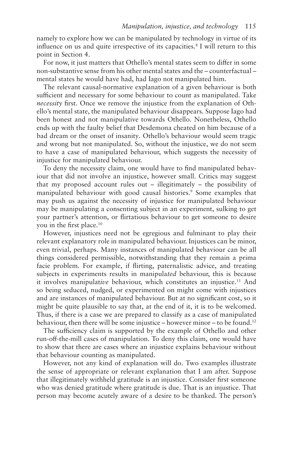<span id="page-7-0"></span>namely to explore how we can be manipulated by technology in virtue of its influence on us and quite irrespective of its capacities.<sup>8</sup> I will return to this point in Section 4.

For now, it just matters that Othello's mental states seem to difer in some non-substantive sense from his other mental states and the – counterfactual – mental states he would have had, had Iago not manipulated him.

The relevant causal-normative explanation of a given behaviour is both sufficient and necessary for some behaviour to count as manipulated. Take *necessity* first. Once we remove the injustice from the explanation of Othello's mental state, the manipulated behaviour disappears. Suppose Iago had been honest and not manipulative towards Othello. Nonetheless, Othello ends up with the faulty belief that Desdemona cheated on him because of a bad dream or the onset of insanity. Othello's behaviour would seem tragic and wrong but not manipulated. So, without the injustice, we do not seem to have a case of manipulated behaviour, which suggests the necessity of injustice for manipulated behaviour.

To deny the necessity claim, one would have to fnd manipulated behaviour that did not involve an injustice, however small. Critics may suggest that my proposed account rules out – illegitimately – the possibility of manipulated behaviour with good causal histories.<sup>9</sup> Some examples that may push us against the necessity of injustice for manipulated behaviour may be manipulating a consenting subject in an experiment, sulking to get your partner's attention, or firtatious behaviour to get someone to desire you in the first place.<sup>10</sup>

However, injustices need not be egregious and fulminant to play their relevant explanatory role in manipulated behaviour. Injustices can be minor, even trivial, perhaps. Many instances of manipulated behaviour can be all things considered permissible, notwithstanding that they remain a prima facie problem. For example, if firting, paternalistic advice, and treating subjects in experiments results in manipula*ted* behaviour, this is because it involves manipulative behaviour, which constitutes an injustice.<sup>11</sup> And so being seduced, nudged, or experimented on might come with injustices and are instances of manipulated behaviour. But at no signifcant cost, so it might be quite plausible to say that, at the end of it, it is to be welcomed. Thus, if there is a case we are prepared to classify as a case of manipulated behaviour, then there will be some injustice – however minor – to be found.<sup>12</sup>

The sufficiency claim is supported by the example of Othello and other run-off-the-mill cases of manipulation. To deny this claim, one would have to show that there are cases where an injustice explains behaviour without that behaviour counting as manipulated.

However, not any kind of explanation will do. Two examples illustrate the sense of appropriate or relevant explanation that I am after. Suppose that illegitimately withheld gratitude is an injustice. Consider frst someone who was denied gratitude where gratitude is due. That is an injustice. That person may become acutely aware of a desire to be thanked. The person's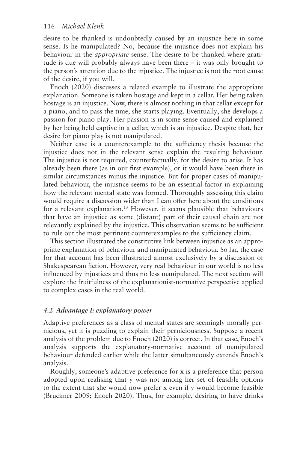<span id="page-8-0"></span>desire to be thanked is undoubtedly caused by an injustice here in some sense. Is he manipulated? No, because the injustice does not explain his behaviour in the *appropriate* sense. The desire to be thanked where gratitude is due will probably always have been there – it was only brought to the person's attention due to the injustice. The injustice is not the root cause of the desire, if you will.

Enoch (2020) discusses a related example to illustrate the appropriate explanation. Someone is taken hostage and kept in a cellar. Her being taken hostage is an injustice. Now, there is almost nothing in that cellar except for a piano, and to pass the time, she starts playing. Eventually, she develops a passion for piano play. Her passion is in some sense caused and explained by her being held captive in a cellar, which is an injustice. Despite that, her desire for piano play is not manipulated.

Neither case is a counterexample to the sufficiency thesis because the injustice does not in the relevant sense explain the resulting behaviour. The injustice is not required, counterfactually, for the desire to arise. It has already been there (as in our frst example), or it would have been there in similar circumstances minus the injustice. But for proper cases of manipulated behaviour, the injustice seems to be an essential factor in explaining how the relevant mental state was formed. Thoroughly assessing this claim would require a discussion wider than I can offer here about the conditions for a relevant explanation[.13](#page-19-0) However, it seems plausible that behaviours that have an injustice as some (distant) part of their causal chain are not relevantly explained by the injustice. This observation seems to be sufficient to rule out the most pertinent counterexamples to the sufficiency claim.

This section illustrated the constitutive link between injustice as an appropriate explanation of behaviour and manipulated behaviour. So far, the case for that account has been illustrated almost exclusively by a discussion of Shakespearean fiction. However, very real behaviour in our world is no less infuenced by injustices and thus no less manipulated. The next section will explore the fruitfulness of the explanationist-normative perspective applied to complex cases in the real world.

#### *4.2 Advantage I: explanatory power*

Adaptive preferences as a class of mental states are seemingly morally pernicious, yet it is puzzling to explain their perniciousness. Suppose a recent analysis of the problem due to Enoch (2020) is correct. In that case, Enoch's analysis supports the explanatory-normative account of manipulated behaviour defended earlier while the latter simultaneously extends Enoch's analysis.

Roughly, someone's adaptive preference for x is a preference that person adopted upon realising that y was not among her set of feasible options to the extent that she would now prefer x even if y would become feasible (Bruckner 2009; Enoch 2020). Thus, for example, desiring to have drinks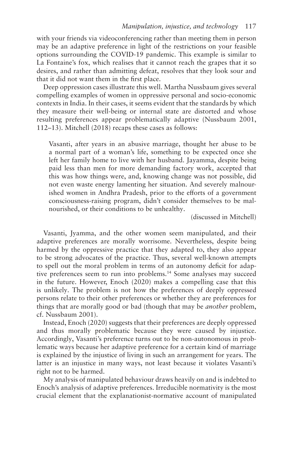<span id="page-9-0"></span>with your friends via videoconferencing rather than meeting them in person may be an adaptive preference in light of the restrictions on your feasible options surrounding the COVID-19 pandemic. This example is similar to La Fontaine's fox, which realises that it cannot reach the grapes that it so desires, and rather than admitting defeat, resolves that they look sour and that it did not want them in the frst place.

Deep oppression cases illustrate this well. Martha Nussbaum gives several compelling examples of women in oppressive personal and socio-economic contexts in India. In their cases, it seems evident that the standards by which they measure their well-being or internal state are distorted and whose resulting preferences appear problematically adaptive (Nussbaum 2001, 112–13). Mitchell (2018) recaps these cases as follows:

Vasanti, after years in an abusive marriage, thought her abuse to be a normal part of a woman's life, something to be expected once she left her family home to live with her husband. Jayamma, despite being paid less than men for more demanding factory work, accepted that this was how things were, and, knowing change was not possible, did not even waste energy lamenting her situation. And severely malnourished women in Andhra Pradesh, prior to the eforts of a government consciousness-raising program, didn't consider themselves to be malnourished, or their conditions to be unhealthy.

(discussed in Mitchell)

Vasanti, Jyamma, and the other women seem manipulated, and their adaptive preferences are morally worrisome. Nevertheless, despite being harmed by the oppressive practice that they adapted to, they also appear to be strong advocates of the practice. Thus, several well-known attempts to spell out the moral problem in terms of an autonomy deficit for adaptive preferences seem to run into problems[.14](#page-19-0) Some analyses may succeed in the future. However, Enoch (2020) makes a compelling case that this is unlikely. The problem is not how the preferences of deeply oppressed persons relate to their other preferences or whether they are preferences for things that are morally good or bad (though that may be *another* problem, cf. Nussbaum 2001).

Instead, Enoch (2020) suggests that their preferences are deeply oppressed and thus morally problematic because they were caused by injustice. Accordingly, Vasanti's preference turns out to be non-autonomous in problematic ways because her adaptive preference for a certain kind of marriage is explained by the injustice of living in such an arrangement for years. The latter is an injustice in many ways, not least because it violates Vasanti's right not to be harmed.

My analysis of manipulated behaviour draws heavily on and is indebted to Enoch's analysis of adaptive preferences. Irreducible normativity is the most crucial element that the explanationist-normative account of manipulated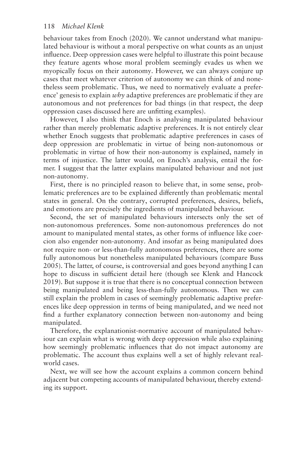behaviour takes from Enoch (2020). We cannot understand what manipulated behaviour is without a moral perspective on what counts as an unjust infuence. Deep oppression cases were helpful to illustrate this point because they feature agents whose moral problem seemingly evades us when we myopically focus on their autonomy. However, we can always conjure up cases that meet whatever criterion of autonomy we can think of and nonetheless seem problematic. Thus, we need to normatively evaluate a preference' genesis to explain *why* adaptive preferences are problematic if they are autonomous and not preferences for bad things (in that respect, the deep oppression cases discussed here are unftting examples).

However, I also think that Enoch is analysing manipulated behaviour rather than merely problematic adaptive preferences. It is not entirely clear whether Enoch suggests that problematic adaptive preferences in cases of deep oppression are problematic in virtue of being non-autonomous or problematic in virtue of how their non-autonomy is explained, namely in terms of injustice. The latter would, on Enoch's analysis, entail the former. I suggest that the latter explains manipulated behaviour and not just non-autonomy.

First, there is no principled reason to believe that, in some sense, problematic preferences are to be explained diferently than problematic mental states in general. On the contrary, corrupted preferences, desires, beliefs, and emotions are precisely the ingredients of manipulated behaviour.

Second, the set of manipulated behaviours intersects only the set of non-autonomous preferences. Some non-autonomous preferences do not amount to manipulated mental states, as other forms of infuence like coercion also engender non-autonomy. And insofar as being manipulated does not require non- or less-than-fully autonomous preferences, there are some fully autonomous but nonetheless manipulated behaviours (compare Buss 2005). The latter, of course, is controversial and goes beyond anything I can hope to discuss in sufficient detail here (though see Klenk and Hancock 2019). But suppose it is true that there is no conceptual connection between being manipulated and being less-than-fully autonomous. Then we can still explain the problem in cases of seemingly problematic adaptive preferences like deep oppression in terms of being manipulated, and we need not fnd a further explanatory connection between non-autonomy and being manipulated.

Therefore, the explanationist-normative account of manipulated behaviour can explain what is wrong with deep oppression while also explaining how seemingly problematic infuences that do not impact autonomy are problematic. The account thus explains well a set of highly relevant realworld cases.

Next, we will see how the account explains a common concern behind adjacent but competing accounts of manipulated behaviour, thereby extending its support.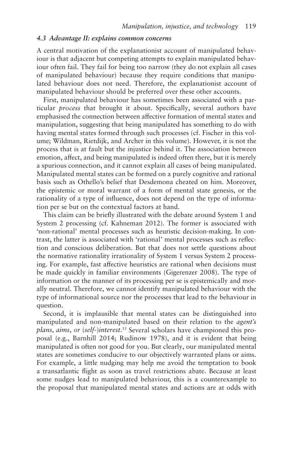#### <span id="page-11-0"></span>*4.3 Advantage II: explains common concerns*

A central motivation of the explanationist account of manipulated behaviour is that adjacent but competing attempts to explain manipulated behaviour often fail. They fail for being too narrow (they do not explain all cases of manipulated behaviour) because they require conditions that manipulated behaviour does not need. Therefore, the explanationist account of manipulated behaviour should be preferred over these other accounts.

First, manipulated behaviour has sometimes been associated with a particular *process* that brought it about. Specifcally, several authors have emphasised the connection between afective formation of mental states and manipulation, suggesting that being manipulated has something to do with having mental states formed through such processes (cf. Fischer in this volume; Wildman, Rietdijk, and Archer in this volume). However, it is not the process that is at fault but the injustice behind it. The association between emotion, affect, and being manipulated is indeed often there, but it is merely a spurious connection, and it cannot explain all cases of being manipulated. Manipulated mental states can be formed on a purely cognitive and rational basis such as Othello's belief that Desdemona cheated on him. Moreover, the epistemic or moral warrant of a form of mental state genesis, or the rationality of a type of infuence, does not depend on the type of information per se but on the contextual factors at hand.

This claim can be briefy illustrated with the debate around System 1 and System 2 processing (cf. Kahneman 2012). The former is associated with 'non-rational' mental processes such as heuristic decision-making. In contrast, the latter is associated with 'rational' mental processes such as refection and conscious deliberation. But that does not settle questions about the normative rationality irrationality of System 1 versus System 2 processing. For example, fast afective heuristics are rational when decisions must be made quickly in familiar environments (Gigerenzer 2008). The type of information or the manner of its processing per se is epistemically and morally neutral. Therefore, we cannot identify manipulated behaviour with the type of informational source nor the processes that lead to the behaviour in question.

Second, it is implausible that mental states can be distinguished into manipulated and non-manipulated based on their relation to the *agent's plans*, *aims*, *or* (*self-*)*interest*. [15](#page-19-0) Several scholars have championed this proposal (e.g., Barnhill 2014; Rudinow 1978), and it is evident that being manipulated is often not good for you. But clearly, our manipulated mental states are sometimes conducive to our objectively warranted plans or aims. For example, a little nudging may help me avoid the temptation to book a transatlantic fight as soon as travel restrictions abate. Because at least some nudges lead to manipulated behaviour, this is a counterexample to the proposal that manipulated mental states and actions are at odds with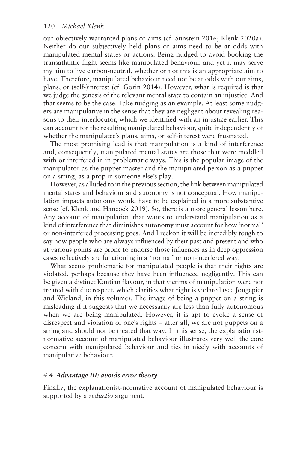our objectively warranted plans or aims (cf. Sunstein 2016; Klenk 2020a). Neither do our subjectively held plans or aims need to be at odds with manipulated mental states or actions. Being nudged to avoid booking the transatlantic fight seems like manipulated behaviour, and yet it may serve my aim to live carbon-neutral, whether or not this is an appropriate aim to have. Therefore, manipulated behaviour need not be at odds with our aims, plans, or (self-)interest (cf. Gorin 2014). However, what is required is that we judge the genesis of the relevant mental state to contain an injustice. And that seems to be the case. Take nudging as an example. At least some nudgers are manipulative in the sense that they are negligent about revealing reasons to their interlocutor, which we identifed with an injustice earlier. This can account for the resulting manipulated behaviour, quite independently of whether the manipulatee's plans, aims, or self-interest were frustrated.

The most promising lead is that manipulation is a kind of interference and, consequently, manipulated mental states are those that were meddled with or interfered in in problematic ways. This is the popular image of the manipulator as the puppet master and the manipulated person as a puppet on a string, as a prop in someone else's play.

However, as alluded to in the previous section, the link between manipulated mental states and behaviour and autonomy is not conceptual. How manipulation impacts autonomy would have to be explained in a more substantive sense (cf. Klenk and Hancock 2019). So, there is a more general lesson here. Any account of manipulation that wants to understand manipulation as a kind of interference that diminishes autonomy must account for how 'normal' or non-interfered processing goes. And I reckon it will be incredibly tough to say how people who are always infuenced by their past and present and who at various points are prone to endorse those infuences as in deep oppression cases refectively are functioning in a 'normal' or non-interfered way.

What seems problematic for manipulated people is that their rights are violated, perhaps because they have been infuenced negligently. This can be given a distinct Kantian favour, in that victims of manipulation were not treated with due respect, which clarifes what right is violated (see Jongepier and Wieland, in this volume). The image of being a puppet on a string is misleading if it suggests that we necessarily are less than fully autonomous when we are being manipulated. However, it is apt to evoke a sense of disrespect and violation of one's rights – after all, we are not puppets on a string and should not be treated that way. In this sense, the explanationistnormative account of manipulated behaviour illustrates very well the core concern with manipulated behaviour and ties in nicely with accounts of manipulative behaviour.

## *4.4 Advantage III: avoids error theory*

Finally, the explanationist-normative account of manipulated behaviour is supported by a *reductio* argument.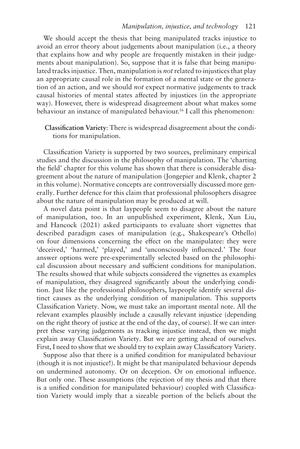#### *Manipulation, injustice, and technology* 121

<span id="page-13-0"></span>We should accept the thesis that being manipulated tracks injustice to avoid an error theory about judgements about manipulation (i.e., a theory that explains how and why people are frequently mistaken in their judgements about manipulation). So, suppose that it is false that being manipulated tracks injustice. Then, manipulation is *not* related to injustices that play an appropriate causal role in the formation of a mental state or the generation of an action, and we should *not* expect normative judgements to track causal histories of mental states afected by injustices (in the appropriate way). However, there is widespread disagreement about what makes some behaviour an instance of manipulated behaviour.<sup>16</sup> I call this phenomenon:

## **Classifcation Variety**: There is widespread disagreement about the conditions for manipulation.

Classifcation Variety is supported by two sources, preliminary empirical studies and the discussion in the philosophy of manipulation. The 'charting the feld' chapter for this volume has shown that there is considerable disagreement about the nature of manipulation (Jongepier and Klenk, chapter 2 in this volume). Normative concepts are controversially discussed more generally. Further defence for this claim that professional philosophers disagree about the nature of manipulation may be produced at will.

A novel data point is that laypeople seem to disagree about the nature of manipulation, too. In an unpublished experiment, Klenk, Xun Liu, and Hancock (2021) asked participants to evaluate short vignettes that described paradigm cases of manipulation (e.g., Shakespeare's Othello) on four dimensions concerning the efect on the manipulatee: they were 'deceived,' 'harmed,' 'played,' and 'unconsciously infuenced.' The four answer options were pre-experimentally selected based on the philosophical discussion about necessary and sufficient conditions for manipulation. The results showed that while subjects considered the vignettes as examples of manipulation, they disagreed signifcantly about the underlying condition. Just like the professional philosophers, laypeople identify several distinct causes as the underlying condition of manipulation. This supports Classifcation Variety. Now, we must take an important mental note. All the relevant examples plausibly include a causally relevant injustice (depending on the right theory of justice at the end of the day, of course). If we can interpret these varying judgements as tracking injustice instead, then we might explain away Classifcation Variety. But we are getting ahead of ourselves. First, I need to show that we should try to explain away Classifcatory Variety.

Suppose also that there is a unifed condition for manipulated behaviour (though it is not injustice!). It might be that manipulated behaviour depends on undermined autonomy. Or on deception. Or on emotional infuence. But only one. These assumptions (the rejection of my thesis and that there is a unifed condition for manipulated behaviour) coupled with Classifcation Variety would imply that a sizeable portion of the beliefs about the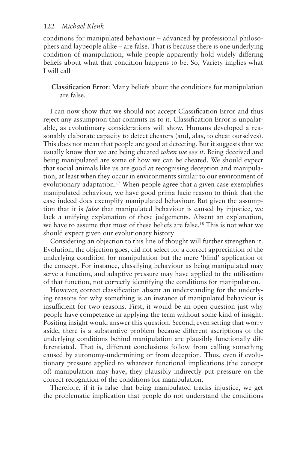<span id="page-14-0"></span>conditions for manipulated behaviour – advanced by professional philosophers and laypeople alike – are false. That is because there is one underlying condition of manipulation, while people apparently hold widely difering beliefs about what that condition happens to be. So, Variety implies what I will call

**Classifcation Error**: Many beliefs about the conditions for manipulation are false.

I can now show that we should not accept Classifcation Error and thus reject any assumption that commits us to it. Classifcation Error is unpalatable, as evolutionary considerations will show. Humans developed a reasonably elaborate capacity to detect cheaters (and, alas, to cheat ourselves). This does not mean that people are good at detecting. But it suggests that we usually know that we are being cheated *when we see it*. Being deceived and being manipulated are some of how we can be cheated. We should expect that social animals like us are good at recognising deception and manipulation, at least when they occur in environments similar to our environment of evolutionary adaptation.<sup>17</sup> When people agree that a given case exemplifies manipulated behaviour, we have good prima facie reason to think that the case indeed does exemplify manipulated behaviour. But given the assumption that it is *false* that manipulated behaviour is caused by injustice, we lack a unifying explanation of these judgements. Absent an explanation, we have to assume that most of these beliefs are false[.18](#page-20-0) This is not what we should expect given our evolutionary history.

Considering an objection to this line of thought will further strengthen it. Evolution, the objection goes, did not select for a correct appreciation of the underlying condition for manipulation but the mere 'blind' application of the concept. For instance, classifying behaviour as being manipulated may serve a function, and adaptive pressure may have applied to the utilisation of that function, not correctly identifying the conditions for manipulation.

However, correct classifcation absent an understanding for the underlying reasons for why something is an instance of manipulated behaviour is insufficient for two reasons. First, it would be an open question just why people have competence in applying the term without some kind of insight. Positing insight would answer this question. Second, even setting that worry aside, there is a substantive problem because diferent ascriptions of the underlying conditions behind manipulation are plausibly functionally differentiated. That is, diferent conclusions follow from calling something caused by autonomy-undermining or from deception. Thus, even if evolutionary pressure applied to whatever functional implications (the concept of) manipulation may have, they plausibly indirectly put pressure on the correct recognition of the conditions for manipulation.

Therefore, if it is false that being manipulated tracks injustice, we get the problematic implication that people do not understand the conditions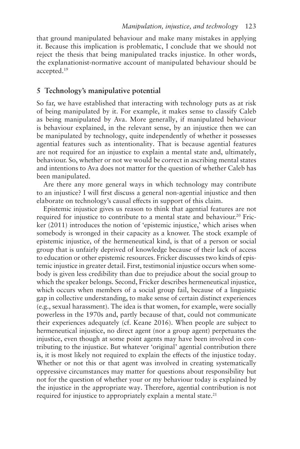<span id="page-15-0"></span>that ground manipulated behaviour and make many mistakes in applying it. Because this implication is problematic, I conclude that we should not reject the thesis that being manipulated tracks injustice. In other words, the explanationist-normative account of manipulated behaviour should be accepted[.19](#page-20-0) 

## **5 Technology's manipulative potential**

So far, we have established that interacting with technology puts as at risk of being manipulated by it. For example, it makes sense to classify Caleb as being manipulated by Ava. More generally, if manipulated behaviour is behaviour explained, in the relevant sense, by an injustice then we can be manipulated by technology, quite independently of whether it possesses agential features such as intentionality. That is because agential features are not required for an injustice to explain a mental state and, ultimately, behaviour. So, whether or not we would be correct in ascribing mental states and intentions to Ava does not matter for the question of whether Caleb has been manipulated.

Are there any more general ways in which technology may contribute to an injustice? I will frst discuss a general non-agential injustice and then elaborate on technology's causal efects in support of this claim.

Epistemic injustice gives us reason to think that agential features are not required for injustice to contribute to a mental state and behaviour.<sup>20</sup> Fricker (2011) introduces the notion of 'epistemic injustice,' which arises when somebody is wronged in their capacity as a knower. The stock example of epistemic injustice, of the hermeneutical kind, is that of a person or social group that is unfairly deprived of knowledge because of their lack of access to education or other epistemic resources. Fricker discusses two kinds of epistemic injustice in greater detail. First, testimonial injustice occurs when somebody is given less credibility than due to prejudice about the social group to which the speaker belongs. Second, Fricker describes hermeneutical injustice, which occurs when members of a social group fail, because of a linguistic gap in collective understanding, to make sense of certain distinct experiences (e.g., sexual harassment). The idea is that women, for example, were socially powerless in the 1970s and, partly because of that, could not communicate their experiences adequately (cf. Keane 2016). When people are subject to hermeneutical injustice, no direct agent (nor a group agent) perpetuates the injustice, even though at some point agents may have been involved in contributing to the injustice. But whatever 'original' agential contribution there is, it is most likely not required to explain the efects of the injustice today. Whether or not this or that agent was involved in creating systematically oppressive circumstances may matter for questions about responsibility but not for the question of whether your or my behaviour today is explained by the injustice in the appropriate way. Therefore, agential contribution is not required for injustice to appropriately explain a mental state. $21$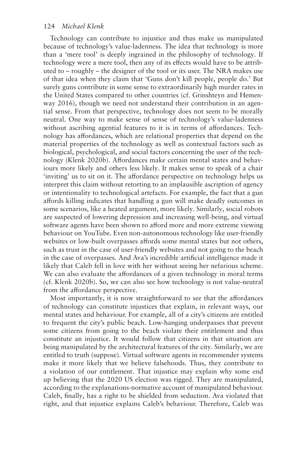Technology can contribute to injustice and thus make us manipulated because of technology's value-ladenness. The idea that technology is more than a 'mere tool' is deeply ingrained in the philosophy of technology. If technology were a mere tool, then any of its efects would have to be attributed to – roughly – the designer of the tool or its user. The NRA makes use of that idea when they claim that 'Guns don't kill people, people do.' But surely guns contribute in some sense to extraordinarily high murder rates in the United States compared to other countries (cf. Grinshteyn and Hemenway 2016), though we need not understand their contribution in an agential sense. From that perspective, technology does not seem to be morally neutral. One way to make sense of sense of technology's value-ladenness without ascribing agential features to it is in terms of affordances. Technology has afordances, which are relational properties that depend on the material properties of the technology as well as contextual factors such as biological, psychological, and social factors concerning the user of the technology (Klenk 2020b). Afordances make certain mental states and behaviours more likely and others less likely. It makes sense to speak of a chair 'inviting' us to sit on it. The afordance perspective on technology helps us interpret this claim without retorting to an implausible ascription of agency or intentionality to technological artefacts. For example, the fact that a gun afords killing indicates that handling a gun will make deadly outcomes in some scenarios, like a heated argument, more likely. Similarly, social robots are suspected of lowering depression and increasing well-being, and virtual software agents have been shown to afford more and more extreme viewing behaviour on YouTube. Even non-autonomous technology like user-friendly websites or low-built overpasses affords some mental states but not others, such as trust in the case of user-friendly websites and not going to the beach in the case of overpasses. And Ava's incredible artifcial intelligence made it likely that Caleb fell in love with her without seeing her nefarious scheme. We can also evaluate the affordances of a given technology in moral terms (cf. Klenk 2020b). So, we can also see how technology is not value-neutral from the afordance perspective.

Most importantly, it is now straightforward to see that the affordances of technology can constitute injustices that explain, in relevant ways, our mental states and behaviour. For example, all of a city's citizens are entitled to frequent the city's public beach. Low-hanging underpasses that prevent some citizens from going to the beach violate their entitlement and thus constitute an injustice. It would follow that citizens in that situation are being manipulated by the architectural features of the city. Similarly, we are entitled to truth (suppose). Virtual software agents in recommender systems make it more likely that we believe falsehoods. Thus, they contribute to a violation of our entitlement. That injustice may explain why some end up believing that the 2020 US election was rigged. They are manipulated, according to the explanations-normative account of manipulated behaviour. Caleb, fnally, has a right to be shielded from seduction. Ava violated that right, and that injustice explains Caleb's behaviour. Therefore, Caleb was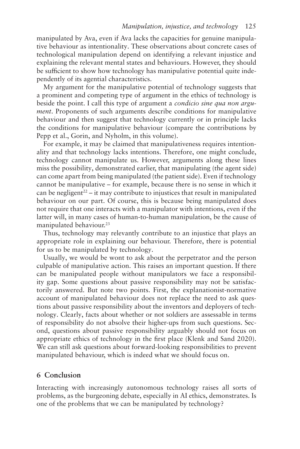<span id="page-17-0"></span>manipulated by Ava, even if Ava lacks the capacities for genuine manipulative behaviour as intentionality. These observations about concrete cases of technological manipulation depend on identifying a relevant injustice and explaining the relevant mental states and behaviours. However, they should be sufficient to show how technology has manipulative potential quite independently of its agential characteristics.

My argument for the manipulative potential of technology suggests that a prominent and competing type of argument in the ethics of technology is beside the point. I call this type of argument a *condicio sine qua non argument*. Proponents of such arguments describe conditions for manipulative behaviour and then suggest that technology currently or in principle lacks the conditions for manipulative behaviour (compare the contributions by Pepp et al., Gorin, and Nyholm, in this volume).

For example, it may be claimed that manipulativeness requires intentionality and that technology lacks intentions. Therefore, one might conclude, technology cannot manipulate us. However, arguments along these lines miss the possibility, demonstrated earlier, that manipulating (the agent side) can come apart from being manipulated (the patient side). Even if technology cannot be manipulative – for example, because there is no sense in which it can be negligent<sup>22</sup> – it may contribute to injustices that result in manipulated behaviour on our part. Of course, this is because being manipulated does not require that one interacts with a manipulator with intentions, even if the latter will, in many cases of human-to-human manipulation, be the cause of manipulated behaviour.<sup>23</sup>

Thus, technology may relevantly contribute to an injustice that plays an appropriate role in explaining our behaviour. Therefore, there is potential for us to be manipulated by technology.

Usually, we would be wont to ask about the perpetrator and the person culpable of manipulative action. This raises an important question. If there can be manipulated people without manipulators we face a responsibility gap. Some questions about passive responsibility may not be satisfactorily answered. But note two points. First, the explanationist-normative account of manipulated behaviour does not replace the need to ask questions about passive responsibility about the inventors and deployers of technology. Clearly, facts about whether or not soldiers are assessable in terms of responsibility do not absolve their higher-ups from such questions. Second, questions about passive responsibility arguably should not focus on appropriate ethics of technology in the frst place (Klenk and Sand 2020). We can still ask questions about forward-looking responsibilities to prevent manipulated behaviour, which is indeed what we should focus on.

# **6 Conclusion**

Interacting with increasingly autonomous technology raises all sorts of problems, as the burgeoning debate, especially in AI ethics, demonstrates. Is one of the problems that we can be manipulated by technology?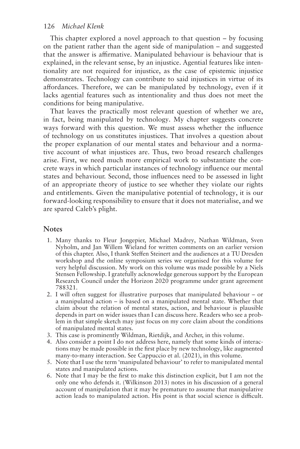<span id="page-18-0"></span>This chapter explored a novel approach to that question – by focusing on the patient rather than the agent side of manipulation – and suggested that the answer is afrmative. Manipulated behaviour is behaviour that is explained, in the relevant sense, by an injustice. Agential features like intentionality are not required for injustice, as the case of epistemic injustice demonstrates. Technology can contribute to said injustices in virtue of its afordances. Therefore, we can be manipulated by technology, even if it lacks agential features such as intentionality and thus does not meet the conditions for being manipulative.

That leaves the practically most relevant question of whether we are, in fact, being manipulated by technology. My chapter suggests concrete ways forward with this question. We must assess whether the infuence of technology on us constitutes injustices. That involves a question about the proper explanation of our mental states and behaviour and a normative account of what injustices are. Thus, two broad research challenges arise. First, we need much more empirical work to substantiate the concrete ways in which particular instances of technology infuence our mental states and behaviour. Second, those infuences need to be assessed in light of an appropriate theory of justice to see whether they violate our rights and entitlements. Given the manipulative potential of technology, it is our forward-looking responsibility to ensure that it does not materialise, and we are spared Caleb's plight.

# **Notes**

- [1.](#page-0-0) Many thanks to Fleur Jongepier, Michael Madrey, Nathan Wildman, Sven Nyholm, and Jan Willem Wieland for written comments on an earlier version of this chapter. Also, I thank Stefen Steinert and the audiences at a TU Dresden workshop and the online symposium series we organised for this volume for very helpful discussion. My work on this volume was made possible by a Niels Stensen Fellowship. I gratefully acknowledge generous support by the European Research Council under the Horizon 2020 programme under grant agreement 788321.
- [2.](#page-0-0) I will often suggest for illustrative purposes that manipulated behaviour or a manipulated action – is based on a manipulated mental state. Whether that claim about the relation of mental states, action, and behaviour is plausible depends in part on wider issues than I can discuss here. Readers who see a problem in that simple sketch may just focus on my core claim about the conditions of manipulated mental states.
- [3.](#page-2-0) This case is prominently Wildman, Rietdijk, and Archer, in this volume.
- [4.](#page-3-0) Also consider a point I do not address here, namely that some kinds of interactions may be made possible in the frst place by new technology, like augmented many-to-many interaction. See Cappuccio et al. (2021), in this volume.
- [5](#page-3-0). Note that I use the term 'manipulated behaviour' to refer to manipulated mental states and manipulated actions.
- [6.](#page-3-0) Note that I may be the frst to make this distinction explicit, but I am not the only one who defends it. (Wilkinson 2013) notes in his discussion of a general account of manipulation that it may be premature to assume that manipulative action leads to manipulated action. His point is that social science is difficult.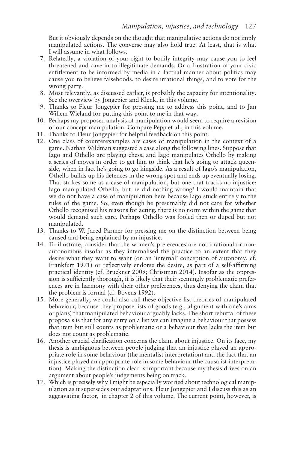<span id="page-19-0"></span>But it obviously depends on the thought that manipulative actions do not imply manipulated actions. The converse may also hold true. At least, that is what I will assume in what follows.

- [7.](#page-4-0) Relatedly, a violation of your right to bodily integrity may cause you to feel threatened and cave in to illegitimate demands. Or a frustration of your civic entitlement to be informed by media in a factual manner about politics may cause you to believe falsehoods, to desire irrational things, and to vote for the wrong party.
- [8.](#page-7-0) Most relevantly, as discussed earlier, is probably the capacity for intentionality. See the overview by Jongepier and Klenk, in this volume.
- [9.](#page-7-0) Thanks to Fleur Jongepier for pressing me to address this point, and to Jan Willem Wieland for putting this point to me in that way.
- [10](#page-7-0). Perhaps my proposed analysis of manipulation would seem to require a revision of our concept manipulation. Compare Pepp et al., in this volume.
- [11](#page-7-0). Thanks to Fleur Jongepier for helpful feedback on this point.
- [12](#page-7-0). One class of counterexamples are cases of manipulation in the context of a game. Nathan Wildman suggested a case along the following lines. Suppose that Iago and Othello are playing chess, and Iago manipulates Othello by making a series of moves in order to get him to think that he's going to attack queenside, when in fact he's going to go kingside. As a result of Iago's manipulation, Othello builds up his defences in the wrong spot and ends up eventually losing. That strikes some as a case of manipulation, but one that tracks no injustice: Iago manipulated Othello, but he did nothing wrong! I would maintain that we do not have a case of manipulation here because Iago stuck entirely to the rules of the game. So, even though he presumably did not care for whether Othello recognised his reasons for acting, there is no norm within the game that would demand such care. Perhaps Othello was fooled then or duped but not manipulated.
- [13](#page-8-0). Thanks to W. Jared Parmer for pressing me on the distinction between being caused and being explained by an injustice.
- [14.](#page-9-0) To illustrate, consider that the women's preferences are not irrational or nonautonomous insofar as they internalised the practice to an extent that they desire what they want to want (on an 'internal' conception of autonomy, cf. Frankfurt 1971) or reflectively endorse the desire, as part of a self-affirming practical identity (cf. Bruckner 2009; Christman 2014). Insofar as the oppression is sufficiently thorough, it is likely that their seemingly problematic preferences are in harmony with their other preferences, thus denying the claim that the problem is formal (cf. Bovens 1992).
- [15](#page-11-0). More generally, we could also call these objective list theories of manipulated behaviour, because they propose lists of goods (e.g., alignment with one's aims or plans) that manipulated behaviour arguably lacks. The short rebuttal of these proposals is that for any entry on a list we can imagine a behaviour that possess that item but still counts as problematic or a behaviour that lacks the item but does not count as problematic.
- [16](#page-13-0). Another crucial clarifcation concerns the claim about injustice. On its face, my thesis is ambiguous between people judging that an injustice played an appropriate role in some behaviour (the mentalist interpretation) and the fact that an injustice played an appropriate role in some behaviour (the causalist interpretation). Making the distinction clear is important because my thesis drives on an argument about people's judgements being on track.
- [17](#page-14-0). Which is precisely why I might be especially worried about technological manipulation as it supersedes our adaptations. Fleur Jongepier and I discuss this as an aggravating factor, in chapter 2 of this volume. The current point, however, is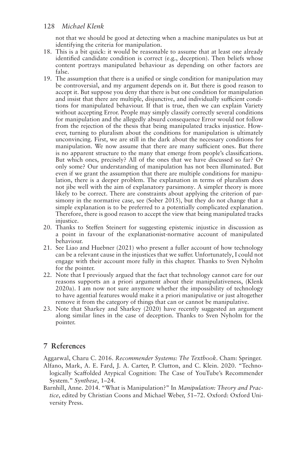<span id="page-20-0"></span>not that we should be good at detecting when a machine manipulates us but at identifying the criteria for manipulation.

- [18.](#page-14-0) This is a bit quick: it would be reasonable to assume that at least one already identifed candidate condition is correct (e.g., deception). Then beliefs whose content portrays manipulated behaviour as depending on other factors are false.
- [19.](#page-15-0) The assumption that there is a unifed or single condition for manipulation may be controversial, and my argument depends on it. But there is good reason to accept it. But suppose you deny that there is but one condition for manipulation and insist that there are multiple, disjunctive, and individually sufficient conditions for manipulated behaviour. If that is true, then we can explain Variety without accepting Error. People may simply classify correctly several conditions for manipulation and the allegedly absurd consequence Error would not follow from the rejection of the thesis that being manipulated tracks injustice. However, turning to pluralism about the conditions for manipulation is ultimately unconvincing. First, we are still in the dark about the necessary conditions for manipulation. We now assume that there are many sufficient ones. But there is no apparent structure to the many that emerge from people's classifcations. But which ones, precisely? All of the ones that we have discussed so far? Or only some? Our understanding of manipulation has not been illuminated. But even if we grant the assumption that there are multiple conditions for manipulation, there is a deeper problem. The explanation in terms of pluralism does not jibe well with the aim of explanatory parsimony. A simpler theory is more likely to be correct. There are constraints about applying the criterion of parsimony in the normative case, see (Sober 2015), but they do not change that a simple explanation is to be preferred to a potentially complicated explanation. Therefore, there is good reason to accept the view that being manipulated tracks iniustice.
- [20.](#page-15-0) Thanks to Stefen Steinert for suggesting epistemic injustice in discussion as a point in favour of the explanationist-normative account of manipulated behaviour.
- [21](#page-15-0). See Liao and Huebner (2021) who present a fuller account of how technology can be a relevant cause in the injustices that we sufer. Unfortunately, I could not engage with their account more fully in this chapter. Thanks to Sven Nyholm for the pointer.
- [22.](#page-17-0) Note that I previously argued that the fact that technology cannot care for our reasons supports an a priori argument about their manipulativeness, (Klenk 2020a). I am now not sure anymore whether the impossibility of technology to have agential features would make it a priori manipulative or just altogether remove it from the category of things that can or cannot be manipulative.
- [23.](#page-17-0) Note that Sharkey and Sharkey (2020) have recently suggested an argument along similar lines in the case of deception. Thanks to Sven Nyholm for the pointer.

# **7 References**

Aggarwal, Charu C. 2016. *Recommender Systems: The Textbook*. Cham: Springer.

- Alfano, Mark, A. E. Fard, J. A. Carter, P. Clutton, and C. Klein. 2020. "Technologically Scafolded Atypical Cognition: The Case of YouTube's Recommender System." *Synthese*, 1–24.
- Barnhill, Anne. 2014. "What is Manipulation?" In *Manipulation: Theory and Practice*, edited by Christian Coons and Michael Weber, 51–72. Oxford: Oxford University Press.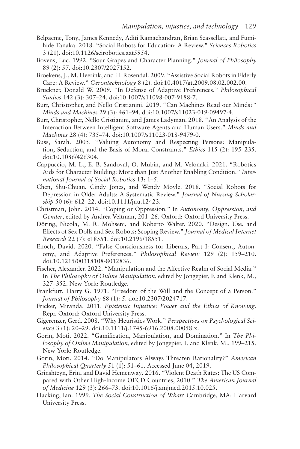- Belpaeme, Tony, James Kennedy, Aditi Ramachandran, Brian Scassellati, and Fumihide Tanaka. 2018. "Social Robots for Education: A Review." *Sciences Robotics*  3 (21). doi[:10.1126/scirobotics.aat5954.](https://doi.org/10.1126/scirobotics.aat5954)
- Bovens, Luc. 1992. "Sour Grapes and Character Planning." *Journal of Philosophy*  89 (2): 57. doi:[10.2307/2027152.](https://doi.org/10.2307/2027152)
- Broekens, J., M. Heerink, and H. Rosendal. 2009. "Assistive Social Robots in Elderly Care: A Review." *Gerontechnology* 8 (2). doi:[10.4017/gt.2009.08.02.002.00.](https://doi.org/10.4017/gt.2009.08.02.002.00)
- Bruckner, Donald W. 2009. "In Defense of Adaptive Preferences." *Philosophical Studies* 142 (3): 307–24. doi[:10.1007/s11098-007-9188-7](https://doi.org/10.1007/s11098-007-9188-7).
- Burr, Christopher, and Nello Cristianini. 2019. "Can Machines Read our Minds?" *Minds and Machines* 29 (3): 461–94. doi:[10.1007/s11023-019-09497-4](https://doi.org/10.1007/s11023-019-09497-4).
- Burr, Christopher, Nello Cristianini, and James Ladyman. 2018. "An Analysis of the Interaction Between Intelligent Software Agents and Human Users." *Minds and Machines* 28 (4): 735–74. doi[:10.1007/s11023-018-9479-0](https://doi.org/10.1007/s11023-018-9479-0).
- Buss, Sarah. 2005. "Valuing Autonomy and Respecting Persons: Manipulation, Seduction, and the Basis of Moral Constraints." *Ethics* 115 (2): 195–235. doi[:10.1086/426304.](https://doi.org/10.1086/426304)
- Cappuccio, M. L., E. B. Sandoval, O. Mubin, and M. Velonaki. 2021. "Robotics Aids for Character Building: More than Just Another Enabling Condition." *International Journal of Social Robotics* 13: 1–5.
- Chen, Shu-Chuan, Cindy Jones, and Wendy Moyle. 2018. "Social Robots for Depression in Older Adults: A Systematic Review." *Journal of Nursing Scholarship* 50 (6): 612–22. doi:[10.1111/jnu.12423](https://doi.org/10.1111/jnu.12423).
- Christman, John. 2014. "Coping or Oppression." In *Autonomy, Oppression, and Gender*, edited by Andrea Veltman, 201–26. Oxford: Oxford University Press.
- Döring, Nicola, M. R. Mohseni, and Roberto Walter. 2020. "Design, Use, and Efects of Sex Dolls and Sex Robots: Scoping Review." *Journal of Medical Internet Research* 22 (7): e18551. doi[:10.2196/18551.](https://doi.org/10.2196/18551)
- Enoch, David. 2020. "False Consciousness for Liberals, Part I: Consent, Autonomy, and Adaptive Preferences." *Philosophical Review* 129 (2): 159–210. doi[:10.1215/00318108-8012836](https://doi.org/10.1215/00318108-8012836).
- Fischer, Alexander. 2022. "Manipulation and the Afective Realm of Social Media." In *The Philosophy of Online Manipulation*, edited by Jongepier, F. and Klenk, M., 327–352. New York: Routledge.
- Frankfurt, Harry G. 1971. "Freedom of the Will and the Concept of a Person." *Journal of Philosophy* 68 (1): 5. doi:[10.2307/2024717](https://doi.org/10.2307/2024717).
- Fricker, Miranda. 2011. *Epistemic Injustice: Power and the Ethics of Knowing*. Repr. Oxford: Oxford University Press.
- Gigerenzer, Gerd. 2008. "Why Heuristics Work." *Perspectives on Psychological Science* 3 (1): 20–29. doi:[10.1111/j.1745-6916.2008.00058.x.](https://doi.org/10.1111/j.1745-6916.2008.00058.x)
- Gorin, Moti. 2022. "Gamifcation, Manipulation, and Domination." In *The Philosophy of Online Manipulation*, edited by Jongepier, F. and Klenk, M., 199–215. New York: Routledge.
- Gorin, Moti. 2014. "Do Manipulators Always Threaten Rationality?" *American Philosophical Quarterly* 51 (1): 51–61. Accessed June 04, 2019.
- Grinshteyn, Erin, and David Hemenway. 2016. "Violent Death Rates: The US Compared with Other High-Income OECD Countries, 2010." *The American Journal of Medicine* 129 (3): 266–73. doi:[10.1016/j.amjmed.2015.10.025.](https://doi.org/10.1016/j.amjmed.2015.10.025)
- Hacking, Ian. 1999. *The Social Construction of What?* Cambridge, MA: Harvard University Press.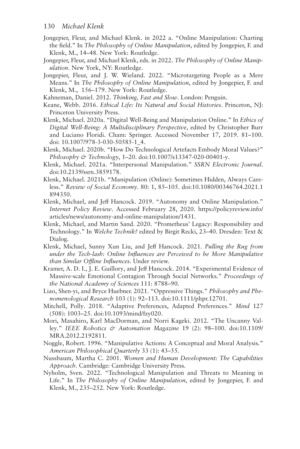- Jongepier, Fleur, and Michael Klenk. in 2022 a. "Online Manipulation: Charting the feld." In *The Philosophy of Online Manipulation*, edited by Jongepier, F. and Klenk, M., 14–48. New York: Routledge.
- Jongepier, Fleur, and Michael Klenk, eds. in 2022. *The Philosophy of Online Manipulation*. New York, NY: Routledge.
- Jongepier, Fleur, and J. W. Wieland. 2022. "Microtargeting People as a Mere Means." In *The Philosophy of Online Manipulation*, edited by Jongepier, F. and Klenk, M., 156–179. New York: Routledge.
- Kahneman, Daniel. 2012. *Thinking, Fast and Slow*. London: Penguin.
- Keane, Webb. 2016. *Ethical Life: Its Natural and Social Histories*. Princeton, NJ: Princeton University Press.
- Klenk, Michael. 2020a. "Digital Well-Being and Manipulation Online." In *Ethics of Digital Well-Being: A Multidisciplinary Perspective*, edited by Christopher Burr and Luciano Floridi. Cham: Springer. Accessed November 17, 2019. 81–100. doi: [10.1007/978-3-030-50585-1\\_4.](https://doi.org/10.1007/978-3-030-50585-1_4)
- Klenk, Michael. 2020b. "How Do Technological Artefacts Embody Moral Values?" *Philosophy & Technology*, 1–20. doi:[10.1007/s13347-020-00401-y](https://doi.org/10.1007/s13347-020-00401-y).
- Klenk, Michael. 2021a. "Interpersonal Manipulation." *SSRN Electronic Journal*. doi:[10.2139/ssrn.3859178.](https://doi.org/10.2139/ssrn.3859178)
- Klenk, Michael. 2021b. "Manipulation (Online): Sometimes Hidden, Always Careless." *Review of Social Economy*. 80: 1, 85–105. doi:[10.1080/00346764.2021.1](https://doi.org/10.1080/00346764.2021.1894350)  [894350.](https://doi.org/10.1080/00346764.2021.1894350)
- Klenk, Michael, and Jef Hancock. 2019. "Autonomy and Online Manipulation." *Internet Policy Review*. Accessed February 28, 2020. [https://policyreview.info/](https://policyreview.info)  [articles/news/autonomy-and-online-manipulation/1431](https://policyreview.info).
- Klenk, Michael, and Martin Sand. 2020. "Prometheus' Legacy: Responsibility and Technology." In *Welche Technik?* edited by Birgit Recki, 23–40. Dresden: Text & Dialog.
- Klenk, Michael, Sunny Xun Liu, and Jef Hancock. 2021. *Pulling the Rug from under the Tech-lash: Online Infuences are Perceived to be More Manipulative than Similar Ofine Infuences*. Under review.
- Kramer, A. D. I., J. E. Guillory, and Jeff Hancock. 2014. "Experimental Evidence of Massive-scale Emotional Contagion Through Social Networks." *Proceedings of the National Academy of Sciences* 111: 8788–90.
- Liao, Shen-yi, and Bryce Huebner. 2021. "Oppressive Things." *Philosophy and Phenomenological Research* 103 (1): 92–113. doi:[10.1111/phpr.12701.](https://doi.org/10.1111/phpr.12701)
- Mitchell, Polly. 2018. "Adaptive Preferences, Adapted Preferences." *Mind* 127 (508): 1003–25. doi:[10.1093/mind/fzy020](https://doi.org/10.1093/mind/fzy020).
- Mori, Masahiro, Karl MacDorman, and Norri Kageki. 2012. "The Uncanny Valley." *IEEE Robotics & Automation Magazine* 19 (2): 98–100. doi:[10.1109/](https://doi.org/10.1109/MRA.2012.2192811)  [MRA.2012.2192811](https://doi.org/10.1109/MRA.2012.2192811).
- Noggle, Robert. 1996. "Manipulative Actions: A Conceptual and Moral Analysis." *American Philosophical Quarterly* 33 (1): 43–55.
- Nussbaum, Martha C. 2001. *Women and Human Development: The Capabilities Approach*. Cambridge: Cambridge University Press.
- Nyholm, Sven. 2022. "Technological Manipulation and Threats to Meaning in Life." In *The Philosophy of Online Manipulation*, edited by Jongepier, F. and Klenk, M., 235–252. New York: Routledge.